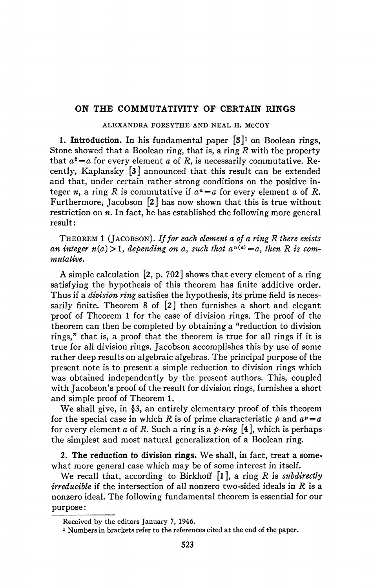## **ON THE COMMÜTATIVITY OF CERTAIN RINGS**

ALEXANDRA FORSYTHE AND NEAL H. McCOY

**1. Introduction. In** his fundamental paper [5]<sup>1</sup> on Boolean rings, Stone showed that a Boolean ring, that is, a ring *R* with the property that  $a^2 = a$  for every element  $a$  of  $R$ , is necessarily commutative. Recently, Kaplansky **[3]** announced that this result can be extended and that, under certain rather strong conditions on the positive integer *n*, a ring *R* is commutative if  $a^n = a$  for every element *a* of *R*. Furthermore, Jacobson [2 ] has now shown that this is true without restriction on *n.* In fact, he has established the following more general result :

THEOREM 1 (JACOBSON). *If for each element a of a ring R there exists*   $an\ integer\ n(a)$  > 1, depending on a, such that  $a^{n(a)} = a$ , then R is com*mutative.* 

A simple calculation [2, p. 702] shows that every element of a ring satisfying the hypothesis of this theorem has finite additive order. Thus if a *division ring* satisfies the hypothesis, its prime field is necessarily finite. Theorem 8 of  $\lceil 2 \rceil$  then furnishes a short and elegant proof of Theorem 1 for the case of division rings. The proof of the theorem can then be completed by obtaining a "reduction to division rings," that is, a proof that the theorem is true for all rings if it is true for all division rings. Jacobson accomplishes this by use of some rather deep results on algebraic algebras. The principal purpose of the present note is to present a simple reduction to division rings which was obtained independently by the present authors. This, coupled with Jacobson's proof of the result for division rings, furnishes a short and simple proof of Theorem 1.

We shall give, in §3, an entirely elementary proof of this theorem for the special case in which *R* is of prime characteristic  $p$  and  $a^p = a$ for every element *a* of *R.* Such a ring is a *p-ring* [4], which is perhaps the simplest and most natural generalization of a Boolean ring.

2. **The reduction to division rings.** We shall, in fact, treat a somewhat more general case which may be of some interest in itself.

We recall that, according to Birkhoff **[l],** a ring *R* is *subdirectly irreducible* if the intersection of all nonzero two-sided ideals in *R* is a nonzero ideal. The following fundamental theorem is essential for our purpose :

Received by the editors January 7, 1946.

<sup>&</sup>lt;sup>1</sup> Numbers in brackets refer to the references cited at the end of the paper.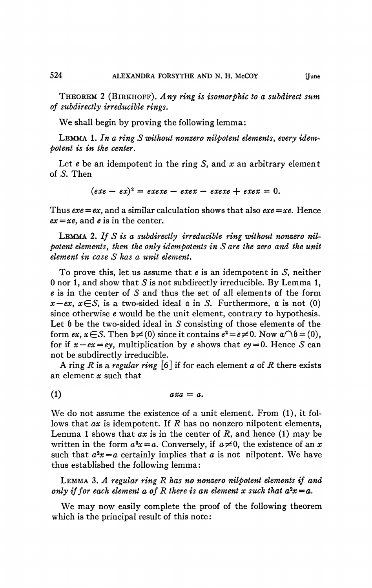THEOREM 2 (BIRKHOFF). *Any ring is isomorphic to a subdirect sum of subdirectly irreducible rings.* 

We shall begin by proving the following lemma:

LEMMA 1. *In a ring S without nonzero nilpotent elements*, *every idempotent is in the center.* 

Let *e* be an idempotent in the ring *S,* and *x* an arbitrary element of 5. Then

$$
(exe - ex)2 = exexe - exex - exexe + exex = 0.
$$

Thus  $exe = ex$ , and a similar calculation shows that also  $exe = xe$ . Hence *ex=xe,* and *e* is in the center.

LEMMA *2. If S is a subdirectly irreducible ring without nonzero nilpotent elements, then the only idempotents in S are the zero and the unit element in case S has a unit element.* 

To prove this, let us assume that *e* is an idempotent in *S,* neither 0 nor 1, and show that *S* is not subdirectly irreducible. By Lemma 1, *e* is in the center of *S* and thus the set of all elements of the form  $x-ex, x \in S$ , is a two-sided ideal  $\alpha$  in *S*. Furthermore,  $\alpha$  is not (0) since otherwise *e* would be the unit element, contrary to hypothesis. Let b be the two-sided ideal in S consisting of those elements of the form  $ex, x \in S$ . Then  $\mathfrak{b} \neq (0)$  since it contains  $e^{\mathfrak{a}} = e \neq 0$ . Now  $\mathfrak{a} \cap \mathfrak{b} = (0)$ , for if  $x-ex=ey$ , multiplication by *e* shows that  $ey=0$ . Hence *S* can not be subdirectly irreducible.

A ring *R* is a *regular ring [ô]* if for each element *a* of *R* there exists an element *x* such that

(1)  $axa = a$ .

We do not assume the existence of a unit element. From (1), it follows that *ax* is idempotent. If *R* has no nonzero nilpotent elements, Lemma 1 shows that *ax* is in the center of *R,* and hence (1) may be written in the form  $a^2x = a$ . Conversely, if  $a \neq 0$ , the existence of an x such that  $a^2x = a$  certainly implies that  $a$  is not nilpotent. We have thus established the following lemma:

LEMMA 3. *A regular ring R has no nonzero nilpotent elements if and only if for each element a of R there is an element x such that*  $a^2x = a$ *.* 

We may now easily complete the proof of the following theorem which is the principal result of this note :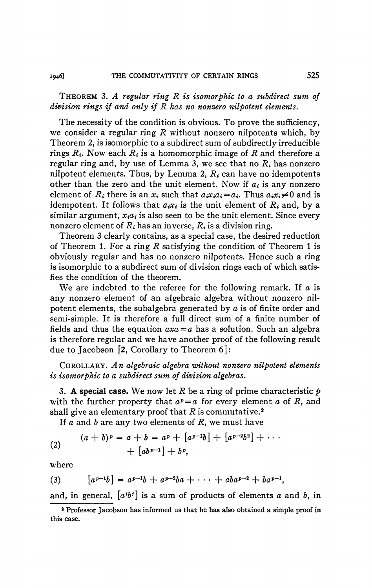## THEOREM 3. *A regular ring R is isomorphic to a subdirect sum of division rings if and only if R has no nonzero nilpotent elements.*

The necessity of the condition is obvious. To prove the sufficiency, we consider a regular ring *R* without nonzero nilpotents which, by Theorem 2, is isomorphic to a subdirect sum of subdirectly irreducible rings *Ri.* Now each *Ri* is a homomorphic image of *R* and therefore a regular ring and, by use of Lemma 3, we see that no *Ri* has nonzero nilpotent elements. Thus, by Lemma 2,  $R_i$  can have no idempotents other than the zero and the unit element. Now if  $a_i$  is any nonzero element of  $R_i$  there is an  $x_i$  such that  $a_i x_i a_i = a_i$ . Thus  $a_i x_i \neq 0$  and is idempotent. It follows that  $a_i x_i$  is the unit element of  $R_i$  and, by a similar argument,  $x_i a_i$  is also seen to be the unit element. Since every nonzero element of *Ri* has an inverse, *Ri* is a division ring.

Theorem 3 clearly contains, as a special case, the desired reduction of Theorem 1. For a ring *R* satisfying the condition of Theorem 1 is obviously regular and has no nonzero nilpotents. Hence such a ring is isomorphic to a subdirect sum of division rings each of which satisfies the condition of the theorem.

We are indebted to the referee for the following remark. If *a* is any nonzero element of an algebraic algebra without nonzero nilpotent elements, the subalgebra generated by *a* is of finite order and semi-simple. It is therefore a full direct sum of a finite number of fields and thus the equation  $axa = a$  has a solution. Such an algebra is therefore regular and we have another proof of the following result due to Jacobson [2, Corollary to Theorem 6]:

COROLLARY. *An algebraic algebra without nonzero nilpotent elements is isomorphic to a subdirect sum of division algebras.* 

3. **A special case.** We now let *R* be a ring of prime characteristic *p*  with the further property that  $a^p = a$  for every element *a* of *R*, and shall give an elementary proof that  $R$  is commutative.<sup>2</sup>

If *a* and *b* are any two elements of *R,* we must have

(2) 
$$
(a+b)^p = a+b = a^p + [a^{p-1}b] + [a^{p-2}b^2] + \cdots + [ab^{p-1}] + b^p,
$$

where

(3) 
$$
[a^{p-1}b] = a^{p-1}b + a^{p-2}ba + \cdots + aba^{p-2} + ba^{p-1},
$$

and, in general,  $[a<sup>i</sup>b<sup>j</sup>]$  is a sum of products of elements a and b, in

**<sup>2</sup> Professor Jacobson has informed us that hè has also obtained a simple proof in this case.**